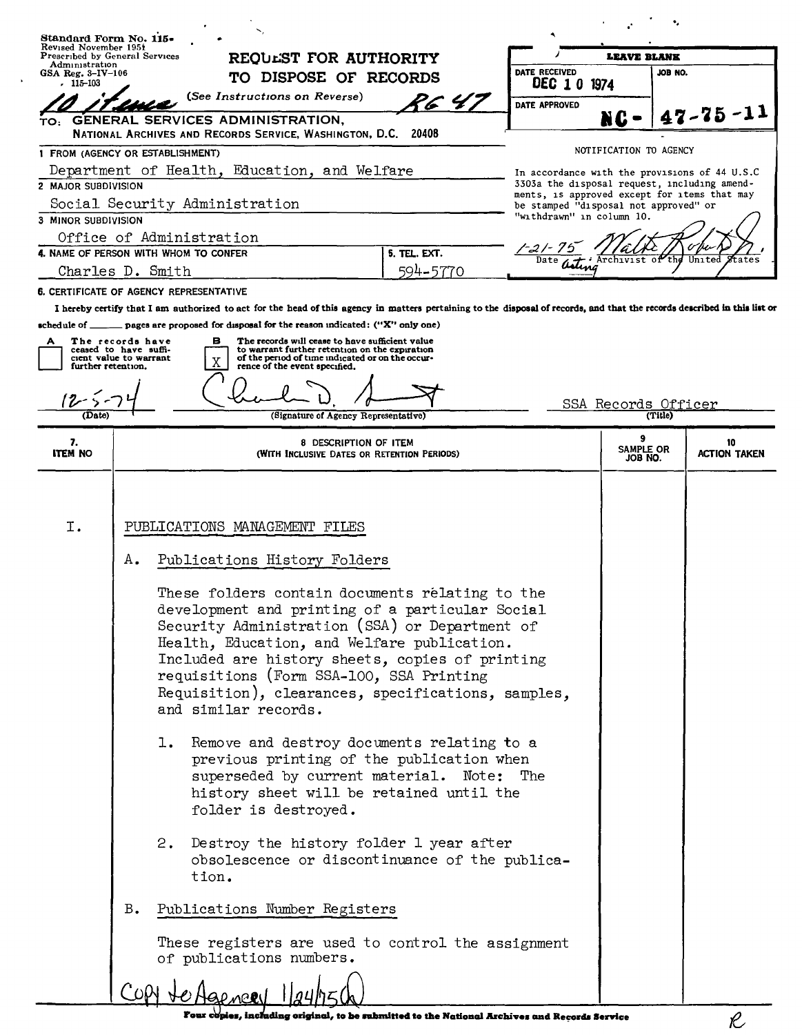|                                                                                  | Standard Form No. 115•                                              |                                                                                                                                                                                                                                                                                                                                                                                                                                                                                                                                                                         |                       |                                                                                               |                        |         |                           |  |  |
|----------------------------------------------------------------------------------|---------------------------------------------------------------------|-------------------------------------------------------------------------------------------------------------------------------------------------------------------------------------------------------------------------------------------------------------------------------------------------------------------------------------------------------------------------------------------------------------------------------------------------------------------------------------------------------------------------------------------------------------------------|-----------------------|-----------------------------------------------------------------------------------------------|------------------------|---------|---------------------------|--|--|
| Revised November 1951<br>Prescribed by General Services<br>REQUEST FOR AUTHORITY |                                                                     |                                                                                                                                                                                                                                                                                                                                                                                                                                                                                                                                                                         | <b>LEAVE BLANK</b>    |                                                                                               |                        |         |                           |  |  |
| Administration<br>GSA Reg. $3-IV-106$<br>- 115–103                               |                                                                     |                                                                                                                                                                                                                                                                                                                                                                                                                                                                                                                                                                         | TO DISPOSE OF RECORDS |                                                                                               |                        | JOB NO. |                           |  |  |
|                                                                                  |                                                                     | (See Instructions on Reverse)                                                                                                                                                                                                                                                                                                                                                                                                                                                                                                                                           | PG 47                 | DEC 1 0 1974<br>DATE APPROVED                                                                 |                        |         |                           |  |  |
| TO:                                                                              |                                                                     | GENERAL SERVICES ADMINISTRATION,                                                                                                                                                                                                                                                                                                                                                                                                                                                                                                                                        |                       |                                                                                               | NC                     |         | $47 - 75 - 11$            |  |  |
|                                                                                  |                                                                     | NATIONAL ARCHIVES AND RECORDS SERVICE, WASHINGTON, D.C. 20408                                                                                                                                                                                                                                                                                                                                                                                                                                                                                                           |                       |                                                                                               |                        |         |                           |  |  |
| 1 FROM (AGENCY OR ESTABLISHMENT)                                                 |                                                                     |                                                                                                                                                                                                                                                                                                                                                                                                                                                                                                                                                                         |                       |                                                                                               | NOTIFICATION TO AGENCY |         |                           |  |  |
| 2 MAJOR SUBDIVISION                                                              |                                                                     | Department of Health, Education, and Welfare                                                                                                                                                                                                                                                                                                                                                                                                                                                                                                                            |                       | In accordance with the provisions of 44 U.S.C<br>3303a the disposal request, including amend- |                        |         |                           |  |  |
|                                                                                  |                                                                     | Social Security Administration                                                                                                                                                                                                                                                                                                                                                                                                                                                                                                                                          |                       | ments, is approved except for items that may<br>be stamped "disposal not approved" or         |                        |         |                           |  |  |
| 3 MINOR SUBDIVISION                                                              |                                                                     |                                                                                                                                                                                                                                                                                                                                                                                                                                                                                                                                                                         |                       | "withdrawn" in column 10.                                                                     |                        |         |                           |  |  |
|                                                                                  |                                                                     | Office of Administration                                                                                                                                                                                                                                                                                                                                                                                                                                                                                                                                                |                       |                                                                                               |                        |         |                           |  |  |
|                                                                                  | 4. NAME OF PERSON WITH WHOM TO CONFER<br>5. TEL. EXT.               |                                                                                                                                                                                                                                                                                                                                                                                                                                                                                                                                                                         |                       |                                                                                               |                        | United  | States                    |  |  |
|                                                                                  | Charles D. Smith                                                    |                                                                                                                                                                                                                                                                                                                                                                                                                                                                                                                                                                         | 594–5770              |                                                                                               |                        |         |                           |  |  |
| 6. CERTIFICATE OF AGENCY REPRESENTATIVE                                          |                                                                     | I hereby certify that I am authorized to act for the head of this agency in matters pertaining to the disposal of records, and that the records described in this list or                                                                                                                                                                                                                                                                                                                                                                                               |                       |                                                                                               |                        |         |                           |  |  |
|                                                                                  |                                                                     | schedule of _______ pages are proposed for disposal for the reason indicated: ("X" only one)                                                                                                                                                                                                                                                                                                                                                                                                                                                                            |                       |                                                                                               |                        |         |                           |  |  |
|                                                                                  | The records have<br>ceased to have suffi-<br>cient value to warrant | The records will cease to have sufficient value<br>в<br>to warrant further retention on the expiration<br>of the period of time indicated or on the occur-<br>Χ                                                                                                                                                                                                                                                                                                                                                                                                         |                       |                                                                                               |                        |         |                           |  |  |
| further retention.                                                               |                                                                     | rence of the event specified.                                                                                                                                                                                                                                                                                                                                                                                                                                                                                                                                           |                       |                                                                                               |                        |         |                           |  |  |
|                                                                                  |                                                                     |                                                                                                                                                                                                                                                                                                                                                                                                                                                                                                                                                                         |                       |                                                                                               | SSA Records Officer    |         |                           |  |  |
| (Date)                                                                           |                                                                     | (Signature of Agency Representative)                                                                                                                                                                                                                                                                                                                                                                                                                                                                                                                                    |                       |                                                                                               |                        | (Title) |                           |  |  |
| 7.<br><b>ITEM NO</b>                                                             |                                                                     | 8 DESCRIPTION OF ITEM<br>(WITH INCLUSIVE DATES OR RETENTION PERIODS)                                                                                                                                                                                                                                                                                                                                                                                                                                                                                                    |                       |                                                                                               | SAMPLE OR<br>JOB NO.   |         | 10<br><b>ACTION TAKEN</b> |  |  |
|                                                                                  |                                                                     |                                                                                                                                                                                                                                                                                                                                                                                                                                                                                                                                                                         |                       |                                                                                               |                        |         |                           |  |  |
|                                                                                  |                                                                     |                                                                                                                                                                                                                                                                                                                                                                                                                                                                                                                                                                         |                       |                                                                                               |                        |         |                           |  |  |
| I.                                                                               |                                                                     | PUBLICATIONS MANAGEMENT FILES                                                                                                                                                                                                                                                                                                                                                                                                                                                                                                                                           |                       |                                                                                               |                        |         |                           |  |  |
|                                                                                  |                                                                     |                                                                                                                                                                                                                                                                                                                                                                                                                                                                                                                                                                         |                       |                                                                                               |                        |         |                           |  |  |
|                                                                                  | Α.                                                                  | Publications History Folders                                                                                                                                                                                                                                                                                                                                                                                                                                                                                                                                            |                       |                                                                                               |                        |         |                           |  |  |
|                                                                                  |                                                                     | These folders contain documents relating to the<br>development and printing of a particular Social<br>Security Administration (SSA) or Department of<br>Health, Education, and Welfare publication.<br>Included are history sheets, copies of printing<br>requisitions (Form SSA-100, SSA Printing<br>Requisition), clearances, specifications, samples,<br>and similar records.<br>1. Remove and destroy documents relating to a<br>previous printing of the publication when<br>superseded by current material. Note: The<br>history sheet will be retained until the |                       |                                                                                               |                        |         |                           |  |  |
|                                                                                  | в.                                                                  | folder is destroyed.<br>2. Destroy the history folder 1 year after<br>obsolescence or discontinuance of the publica-<br>tion.<br>Publications Number Registers<br>These registers are used to control the assignment<br>of publications numbers.<br>COPY to Agence 1/24/75ch                                                                                                                                                                                                                                                                                            |                       |                                                                                               |                        |         |                           |  |  |

 $\ddot{\phantom{1}}$ 

 $\ell$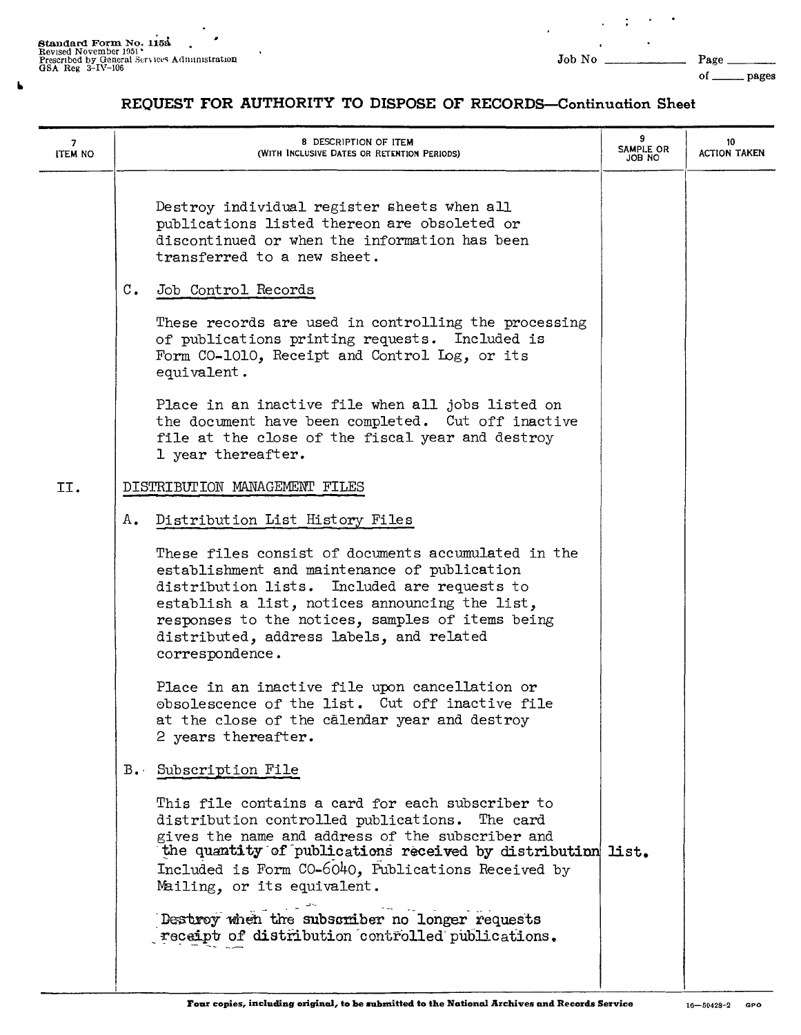$\pmb{\mathsf{b}}$ 

Page \_ of \_\_\_\_\_\_\_ pages

 $\blacksquare$  $\sim$   $\sim$  $\mathbb{C}^2$  $\overline{a}$ 

## REQUEST FOR AUTHORITY TO DISPOSE OF RECORDS-Continuation Sheet

| 7<br><b>ITEM NO</b> |                | 8 DESCRIPTION OF ITEM<br>(WITH INCLUSIVE DATES OR RETENTION PERIODS)                                                                                                                                                                                                                                                     | 9<br>SAMPLE OR<br>JOB NO | 10<br><b>ACTION TAKEN</b> |
|---------------------|----------------|--------------------------------------------------------------------------------------------------------------------------------------------------------------------------------------------------------------------------------------------------------------------------------------------------------------------------|--------------------------|---------------------------|
|                     |                | Destroy individual register sheets when all<br>publications listed thereon are obsoleted or<br>discontinued or when the information has been<br>transferred to a new sheet.                                                                                                                                              |                          |                           |
|                     | $\mathbb{C}$ . | Job Control Records                                                                                                                                                                                                                                                                                                      |                          |                           |
|                     |                | These records are used in controlling the processing<br>of publications printing requests. Included is<br>Form CO-1010, Receipt and Control Log, or its<br>equivalent.                                                                                                                                                   |                          |                           |
|                     |                | Place in an inactive file when all jobs listed on<br>the document have been completed. Cut off inactive<br>file at the close of the fiscal year and destroy<br>1 year thereafter.                                                                                                                                        |                          |                           |
| II.                 |                | DISTRIBUTION MANAGEMENT FILES                                                                                                                                                                                                                                                                                            |                          |                           |
|                     | А.             | Distribution List History Files                                                                                                                                                                                                                                                                                          |                          |                           |
|                     |                | These files consist of documents accumulated in the<br>establishment and maintenance of publication<br>distribution lists. Included are requests to<br>establish a list, notices announcing the list,<br>responses to the notices, samples of items being<br>distributed, address labels, and related<br>correspondence. |                          |                           |
|                     |                | Place in an inactive file upon cancellation or<br>obsolescence of the list. Cut off inactive file<br>at the close of the calendar year and destroy<br>2 years thereafter.                                                                                                                                                |                          |                           |
|                     |                | B. Subscription File                                                                                                                                                                                                                                                                                                     |                          |                           |
|                     |                | This file contains a card for each subscriber to<br>distribution controlled publications. The card<br>gives the name and address of the subscriber and<br>the quantity of publications received by distribution list.<br>Included is Form CO-6040, Publications Received by<br>Mailing, or its equivalent.               |                          |                           |
|                     |                | Destroy when the subscriber no longer requests<br>receipt of distribution controlled publications.                                                                                                                                                                                                                       |                          |                           |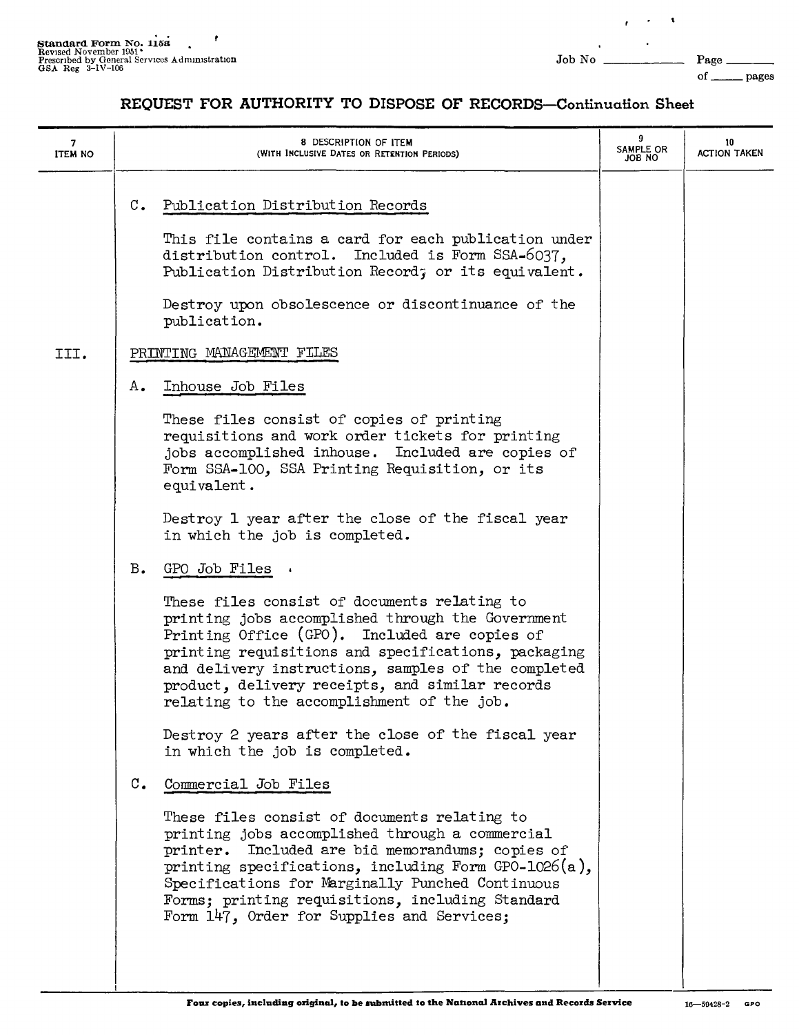$\mathcal{A}$  $\sim$  $\mathbf{r}$ 

## **REQUEST FOR AUTHORITY TO DISPOSE OF RECORDS-Continuation Sheet**

| <b>ITEM NO</b> | 8 DESCRIPTION OF ITEM<br>(WITH INCLUSIVE DATES OR RETENTION PERIODS)                                                                                                                                                                                                                                                                                                 | 9<br>SAMPLE OR<br>ON 8OL | 10<br><b>ACTION TAKEN</b> |
|----------------|----------------------------------------------------------------------------------------------------------------------------------------------------------------------------------------------------------------------------------------------------------------------------------------------------------------------------------------------------------------------|--------------------------|---------------------------|
|                | $\mathbb{C}$ .<br>Publication Distribution Records<br>This file contains a card for each publication under<br>distribution control. Included is Form SSA-6037,<br>Publication Distribution Record; or its equivalent.                                                                                                                                                |                          |                           |
|                | Destroy upon obsolescence or discontinuance of the<br>publication.                                                                                                                                                                                                                                                                                                   |                          |                           |
| III.           | PRINTING MANAGEMENT FILES                                                                                                                                                                                                                                                                                                                                            |                          |                           |
|                | Inhouse Job Files<br>А.                                                                                                                                                                                                                                                                                                                                              |                          |                           |
|                | These files consist of copies of printing<br>requisitions and work order tickets for printing<br>jobs accomplished inhouse. Included are copies of<br>Form SSA-100, SSA Printing Requisition, or its<br>equivalent.                                                                                                                                                  |                          |                           |
|                | Destroy 1 year after the close of the fiscal year<br>in which the job is completed.                                                                                                                                                                                                                                                                                  |                          |                           |
|                | $B_{\bullet}$<br>GPO Job Files                                                                                                                                                                                                                                                                                                                                       |                          |                           |
|                | These files consist of documents relating to<br>printing jobs accomplished through the Government<br>Printing Office (GPO). Included are copies of<br>printing requisitions and specifications, packaging<br>and delivery instructions, samples of the completed<br>product, delivery receipts, and similar records<br>relating to the accomplishment of the job.    |                          |                           |
|                | Destroy 2 years after the close of the fiscal year<br>in which the job is completed.                                                                                                                                                                                                                                                                                 |                          |                           |
|                | $\mathfrak{c}$ .<br>Commercial Job Files                                                                                                                                                                                                                                                                                                                             |                          |                           |
|                | These files consist of documents relating to<br>printing jobs accomplished through a commercial<br>printer. Included are bid memorandums; copies of<br>printing specifications, including Form $GPO-1026(a)$ ,<br>Specifications for Marginally Punched Continuous<br>Forms; printing requisitions, including Standard<br>Form 147, Order for Supplies and Services; |                          |                           |
|                |                                                                                                                                                                                                                                                                                                                                                                      |                          |                           |